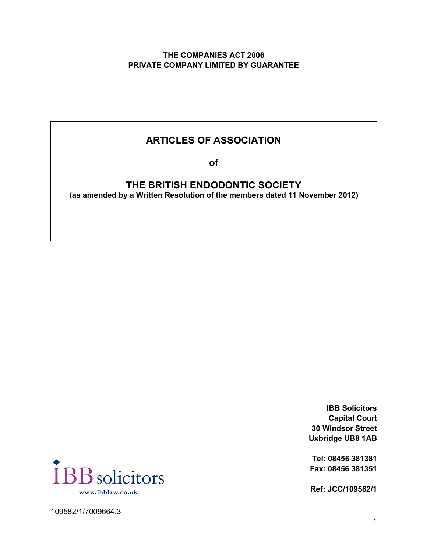# **THE COMPANIES ACT 2006 PRIVATE COMPANY LIMITED BY GUARANTEE**

# **ARTICLES OF ASSOCIATION**

**of**

**THE BRITISH ENDODONTIC SOCIETY (as amended by a Written Resolution of the members dated 11 November 2012)**

> **IBB Solicitors Capital Court 30 Windsor Street Uxbridge UB8 1AB**

**Tel: 08456 381381 Fax: 08456 381351**

**Ref: JCC/109582/1**



109582/1/7009664.3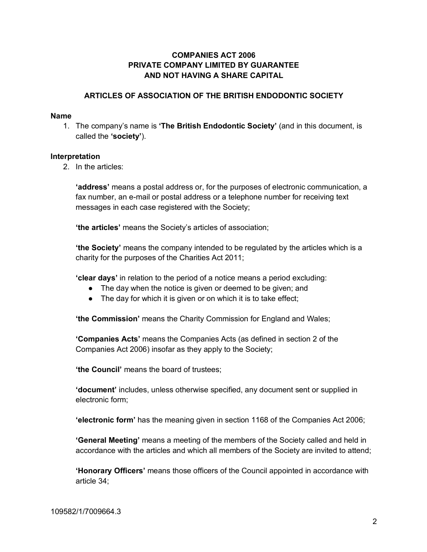# **COMPANIES ACT 2006 PRIVATE COMPANY LIMITED BY GUARANTEE AND NOT HAVING A SHARE CAPITAL**

# **ARTICLES OF ASSOCIATION OF THE BRITISH ENDODONTIC SOCIETY**

#### **Name**

1. The company's name is **'The British Endodontic Society'** (and in this document, is called the **'society'**).

#### **Interpretation**

2. In the articles:

**'address'** means a postal address or, for the purposes of electronic communication, a fax number, an e-mail or postal address or a telephone number for receiving text messages in each case registered with the Society;

**'the articles'** means the Society's articles of association;

**'the Society'** means the company intended to be regulated by the articles which is a charity for the purposes of the Charities Act 2011;

**'clear days'** in relation to the period of a notice means a period excluding:

- The day when the notice is given or deemed to be given; and
- The day for which it is given or on which it is to take effect;

**'the Commission'** means the Charity Commission for England and Wales;

**'Companies Acts'** means the Companies Acts (as defined in section 2 of the Companies Act 2006) insofar as they apply to the Society;

**'the Council'** means the board of trustees;

**'document'** includes, unless otherwise specified, any document sent or supplied in electronic form;

**'electronic form'** has the meaning given in section 1168 of the Companies Act 2006;

**'General Meeting'** means a meeting of the members of the Society called and held in accordance with the articles and which all members of the Society are invited to attend;

**'Honorary Officers'** means those officers of the Council appointed in accordance with article 34;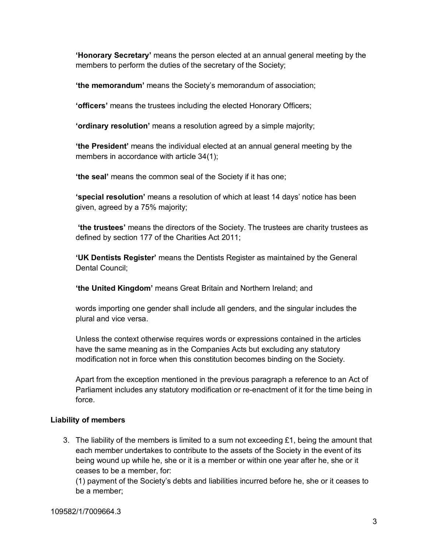**'Honorary Secretary'** means the person elected at an annual general meeting by the members to perform the duties of the secretary of the Society;

**'the memorandum'** means the Society's memorandum of association;

**'officers'** means the trustees including the elected Honorary Officers;

**'ordinary resolution'** means a resolution agreed by a simple majority;

**'the President'** means the individual elected at an annual general meeting by the members in accordance with article 34(1);

**'the seal'** means the common seal of the Society if it has one;

**'special resolution'** means a resolution of which at least 14 days' notice has been given, agreed by a 75% majority;

**'the trustees'** means the directors of the Society. The trustees are charity trustees as defined by section 177 of the Charities Act 2011;

**'UK Dentists Register'** means the Dentists Register as maintained by the General Dental Council;

**'the United Kingdom'** means Great Britain and Northern Ireland; and

words importing one gender shall include all genders, and the singular includes the plural and vice versa.

Unless the context otherwise requires words or expressions contained in the articles have the same meaning as in the Companies Acts but excluding any statutory modification not in force when this constitution becomes binding on the Society.

Apart from the exception mentioned in the previous paragraph a reference to an Act of Parliament includes any statutory modification or re-enactment of it for the time being in force.

# **Liability of members**

3. The liability of the members is limited to a sum not exceeding  $£1$ , being the amount that each member undertakes to contribute to the assets of the Society in the event of its being wound up while he, she or it is a member or within one year after he, she or it ceases to be a member, for:

(1) payment of the Society's debts and liabilities incurred before he, she or it ceases to be a member;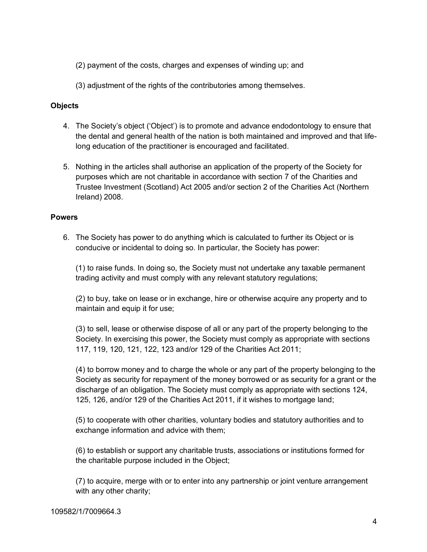(2) payment of the costs, charges and expenses of winding up; and

(3) adjustment of the rights of the contributories among themselves.

# **Objects**

- 4. The Society's object ('Object') is to promote and advance endodontology to ensure that the dental and general health of the nation is both maintained and improved and that lifelong education of the practitioner is encouraged and facilitated.
- 5. Nothing in the articles shall authorise an application of the property of the Society for purposes which are not charitable in accordance with section 7 of the Charities and Trustee Investment (Scotland) Act 2005 and/or section 2 of the Charities Act (Northern Ireland) 2008.

### **Powers**

6. The Society has power to do anything which is calculated to further its Object or is conducive or incidental to doing so. In particular, the Society has power:

(1) to raise funds. In doing so, the Society must not undertake any taxable permanent trading activity and must comply with any relevant statutory regulations;

(2) to buy, take on lease or in exchange, hire or otherwise acquire any property and to maintain and equip it for use;

(3) to sell, lease or otherwise dispose of all or any part of the property belonging to the Society. In exercising this power, the Society must comply as appropriate with sections 117, 119, 120, 121, 122, 123 and/or 129 of the Charities Act 2011;

(4) to borrow money and to charge the whole or any part of the property belonging to the Society as security for repayment of the money borrowed or as security for a grant or the discharge of an obligation. The Society must comply as appropriate with sections 124, 125, 126, and/or 129 of the Charities Act 2011, if it wishes to mortgage land;

(5) to cooperate with other charities, voluntary bodies and statutory authorities and to exchange information and advice with them;

(6) to establish or support any charitable trusts, associations or institutions formed for the charitable purpose included in the Object;

(7) to acquire, merge with or to enter into any partnership or joint venture arrangement with any other charity;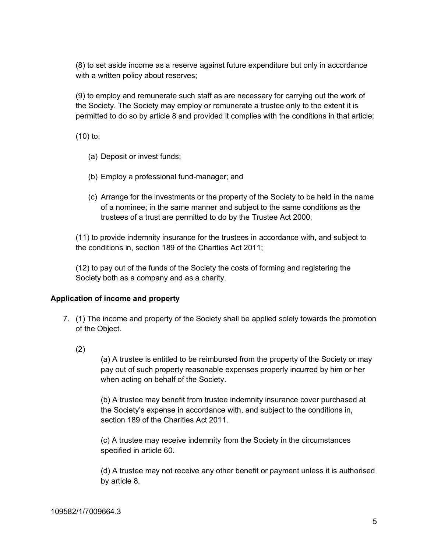(8) to set aside income as a reserve against future expenditure but only in accordance with a written policy about reserves;

(9) to employ and remunerate such staff as are necessary for carrying out the work of the Society. The Society may employ or remunerate a trustee only to the extent it is permitted to do so by article 8 and provided it complies with the conditions in that article;

(10) to:

- (a) Deposit or invest funds;
- (b) Employ a professional fund-manager; and
- (c) Arrange for the investments or the property of the Society to be held in the name of a nominee; in the same manner and subject to the same conditions as the trustees of a trust are permitted to do by the Trustee Act 2000;

(11) to provide indemnity insurance for the trustees in accordance with, and subject to the conditions in, section 189 of the Charities Act 2011;

(12) to pay out of the funds of the Society the costs of forming and registering the Society both as a company and as a charity.

# **Application of income and property**

- 7. (1) The income and property of the Society shall be applied solely towards the promotion of the Object.
	- (2)

(a) A trustee is entitled to be reimbursed from the property of the Society or may pay out of such property reasonable expenses properly incurred by him or her when acting on behalf of the Society.

(b) A trustee may benefit from trustee indemnity insurance cover purchased at the Society's expense in accordance with, and subject to the conditions in, section 189 of the Charities Act 2011.

(c) A trustee may receive indemnity from the Society in the circumstances specified in article 60.

(d) A trustee may not receive any other benefit or payment unless it is authorised by article 8.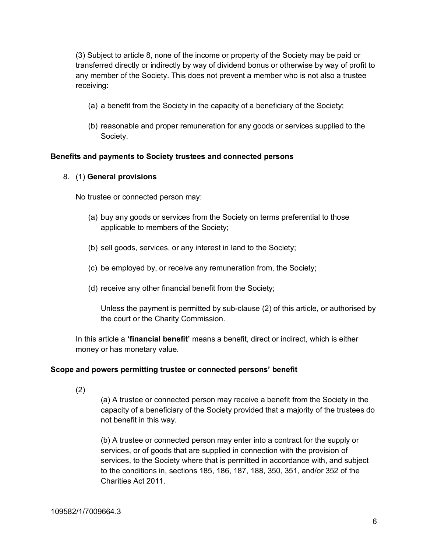(3) Subject to article 8, none of the income or property of the Society may be paid or transferred directly or indirectly by way of dividend bonus or otherwise by way of profit to any member of the Society. This does not prevent a member who is not also a trustee receiving:

- (a) a benefit from the Society in the capacity of a beneficiary of the Society;
- (b) reasonable and proper remuneration for any goods or services supplied to the Society.

### **Benefits and payments to Society trustees and connected persons**

### 8. (1) **General provisions**

No trustee or connected person may:

- (a) buy any goods or services from the Society on terms preferential to those applicable to members of the Society;
- (b) sell goods, services, or any interest in land to the Society;
- (c) be employed by, or receive any remuneration from, the Society;
- (d) receive any other financial benefit from the Society;

Unless the payment is permitted by sub-clause (2) of this article, or authorised by the court or the Charity Commission.

In this article a **'financial benefit'** means a benefit, direct or indirect, which is either money or has monetary value.

#### **Scope and powers permitting trustee or connected persons' benefit**

(2)

(a) A trustee or connected person may receive a benefit from the Society in the capacity of a beneficiary of the Society provided that a majority of the trustees do not benefit in this way.

(b) A trustee or connected person may enter into a contract for the supply or services, or of goods that are supplied in connection with the provision of services, to the Society where that is permitted in accordance with, and subject to the conditions in, sections 185, 186, 187, 188, 350, 351, and/or 352 of the Charities Act 2011.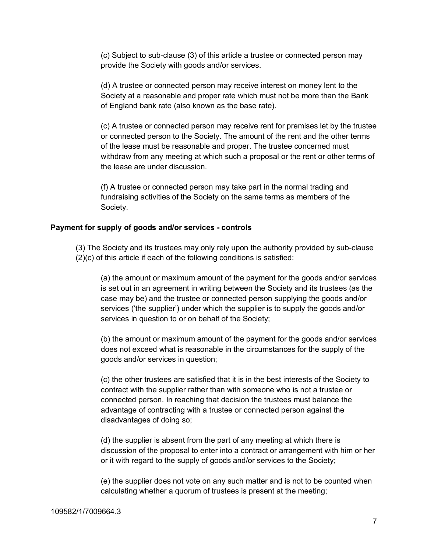(c) Subject to sub-clause (3) of this article a trustee or connected person may provide the Society with goods and/or services.

(d) A trustee or connected person may receive interest on money lent to the Society at a reasonable and proper rate which must not be more than the Bank of England bank rate (also known as the base rate).

(c) A trustee or connected person may receive rent for premises let by the trustee or connected person to the Society. The amount of the rent and the other terms of the lease must be reasonable and proper. The trustee concerned must withdraw from any meeting at which such a proposal or the rent or other terms of the lease are under discussion.

(f) A trustee or connected person may take part in the normal trading and fundraising activities of the Society on the same terms as members of the Society.

#### **Payment for supply of goods and/or services - controls**

(3) The Society and its trustees may only rely upon the authority provided by sub-clause (2)(c) of this article if each of the following conditions is satisfied:

(a) the amount or maximum amount of the payment for the goods and/or services is set out in an agreement in writing between the Society and its trustees (as the case may be) and the trustee or connected person supplying the goods and/or services ('the supplier') under which the supplier is to supply the goods and/or services in question to or on behalf of the Society;

(b) the amount or maximum amount of the payment for the goods and/or services does not exceed what is reasonable in the circumstances for the supply of the goods and/or services in question;

(c) the other trustees are satisfied that it is in the best interests of the Society to contract with the supplier rather than with someone who is not a trustee or connected person. In reaching that decision the trustees must balance the advantage of contracting with a trustee or connected person against the disadvantages of doing so;

(d) the supplier is absent from the part of any meeting at which there is discussion of the proposal to enter into a contract or arrangement with him or her or it with regard to the supply of goods and/or services to the Society;

(e) the supplier does not vote on any such matter and is not to be counted when calculating whether a quorum of trustees is present at the meeting;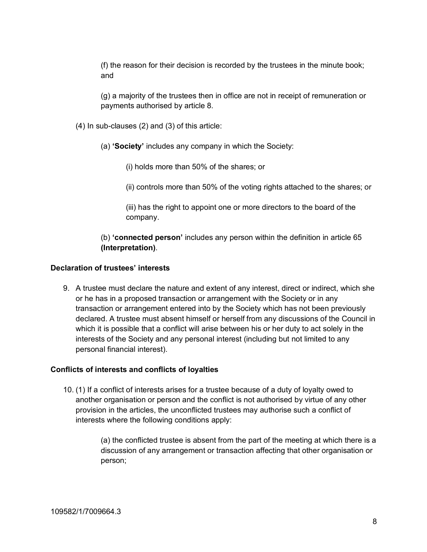(f) the reason for their decision is recorded by the trustees in the minute book; and

(g) a majority of the trustees then in office are not in receipt of remuneration or payments authorised by article 8.

(4) In sub-clauses (2) and (3) of this article:

(a) **'Society'** includes any company in which the Society:

(i) holds more than 50% of the shares; or

(ii) controls more than 50% of the voting rights attached to the shares; or

(iii) has the right to appoint one or more directors to the board of the company.

(b) **'connected person'** includes any person within the definition in article 65 **(Interpretation)**.

### **Declaration of trustees' interests**

9. A trustee must declare the nature and extent of any interest, direct or indirect, which she or he has in a proposed transaction or arrangement with the Society or in any transaction or arrangement entered into by the Society which has not been previously declared. A trustee must absent himself or herself from any discussions of the Council in which it is possible that a conflict will arise between his or her duty to act solely in the interests of the Society and any personal interest (including but not limited to any personal financial interest).

#### **Conflicts of interests and conflicts of loyalties**

10. (1) If a conflict of interests arises for a trustee because of a duty of loyalty owed to another organisation or person and the conflict is not authorised by virtue of any other provision in the articles, the unconflicted trustees may authorise such a conflict of interests where the following conditions apply:

> (a) the conflicted trustee is absent from the part of the meeting at which there is a discussion of any arrangement or transaction affecting that other organisation or person;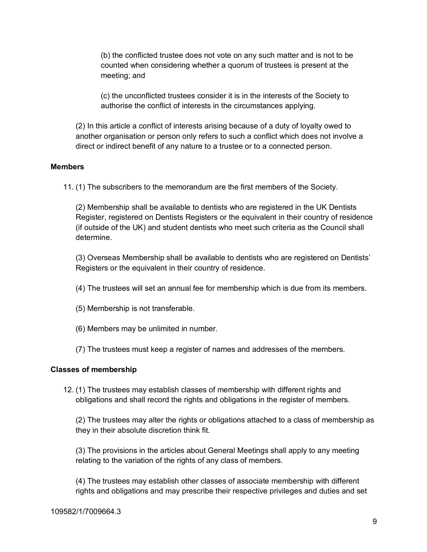(b) the conflicted trustee does not vote on any such matter and is not to be counted when considering whether a quorum of trustees is present at the meeting; and

(c) the unconflicted trustees consider it is in the interests of the Society to authorise the conflict of interests in the circumstances applying.

(2) In this article a conflict of interests arising because of a duty of loyalty owed to another organisation or person only refers to such a conflict which does not involve a direct or indirect benefit of any nature to a trustee or to a connected person.

### **Members**

11. (1) The subscribers to the memorandum are the first members of the Society.

(2) Membership shall be available to dentists who are registered in the UK Dentists Register, registered on Dentists Registers or the equivalent in their country of residence (if outside of the UK) and student dentists who meet such criteria as the Council shall determine.

(3) Overseas Membership shall be available to dentists who are registered on Dentists' Registers or the equivalent in their country of residence.

- (4) The trustees will set an annual fee for membership which is due from its members.
- (5) Membership is not transferable.
- (6) Members may be unlimited in number.
- (7) The trustees must keep a register of names and addresses of the members.

#### **Classes of membership**

12. (1) The trustees may establish classes of membership with different rights and obligations and shall record the rights and obligations in the register of members.

(2) The trustees may alter the rights or obligations attached to a class of membership as they in their absolute discretion think fit.

(3) The provisions in the articles about General Meetings shall apply to any meeting relating to the variation of the rights of any class of members.

(4) The trustees may establish other classes of associate membership with different rights and obligations and may prescribe their respective privileges and duties and set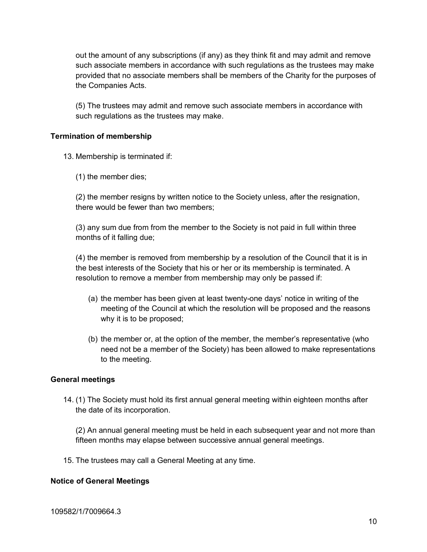out the amount of any subscriptions (if any) as they think fit and may admit and remove such associate members in accordance with such regulations as the trustees may make provided that no associate members shall be members of the Charity for the purposes of the Companies Acts.

(5) The trustees may admit and remove such associate members in accordance with such regulations as the trustees may make.

### **Termination of membership**

13. Membership is terminated if:

(1) the member dies;

(2) the member resigns by written notice to the Society unless, after the resignation, there would be fewer than two members;

(3) any sum due from from the member to the Society is not paid in full within three months of it falling due;

(4) the member is removed from membership by a resolution of the Council that it is in the best interests of the Society that his or her or its membership is terminated. A resolution to remove a member from membership may only be passed if:

- (a) the member has been given at least twenty-one days' notice in writing of the meeting of the Council at which the resolution will be proposed and the reasons why it is to be proposed;
- (b) the member or, at the option of the member, the member's representative (who need not be a member of the Society) has been allowed to make representations to the meeting.

#### **General meetings**

14. (1) The Society must hold its first annual general meeting within eighteen months after the date of its incorporation.

(2) An annual general meeting must be held in each subsequent year and not more than fifteen months may elapse between successive annual general meetings.

15. The trustees may call a General Meeting at any time.

#### **Notice of General Meetings**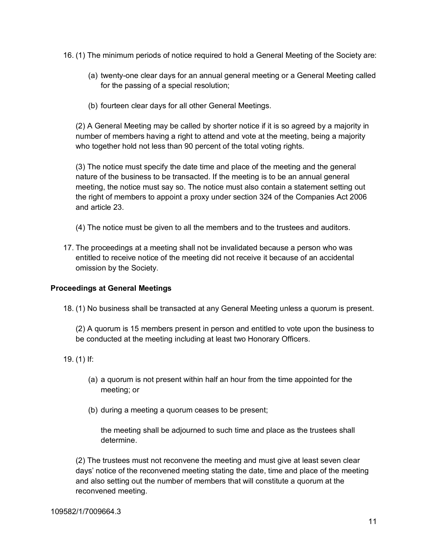16. (1) The minimum periods of notice required to hold a General Meeting of the Society are:

- (a) twenty-one clear days for an annual general meeting or a General Meeting called for the passing of a special resolution;
- (b) fourteen clear days for all other General Meetings.

(2) A General Meeting may be called by shorter notice if it is so agreed by a majority in number of members having a right to attend and vote at the meeting, being a majority who together hold not less than 90 percent of the total voting rights.

(3) The notice must specify the date time and place of the meeting and the general nature of the business to be transacted. If the meeting is to be an annual general meeting, the notice must say so. The notice must also contain a statement setting out the right of members to appoint a proxy under section 324 of the Companies Act 2006 and article 23.

- (4) The notice must be given to all the members and to the trustees and auditors.
- 17. The proceedings at a meeting shall not be invalidated because a person who was entitled to receive notice of the meeting did not receive it because of an accidental omission by the Society.

# **Proceedings at General Meetings**

18. (1) No business shall be transacted at any General Meeting unless a quorum is present.

(2) A quorum is 15 members present in person and entitled to vote upon the business to be conducted at the meeting including at least two Honorary Officers.

- 19. (1) If:
	- (a) a quorum is not present within half an hour from the time appointed for the meeting; or
	- (b) during a meeting a quorum ceases to be present;

the meeting shall be adjourned to such time and place as the trustees shall determine.

(2) The trustees must not reconvene the meeting and must give at least seven clear days' notice of the reconvened meeting stating the date, time and place of the meeting and also setting out the number of members that will constitute a quorum at the reconvened meeting.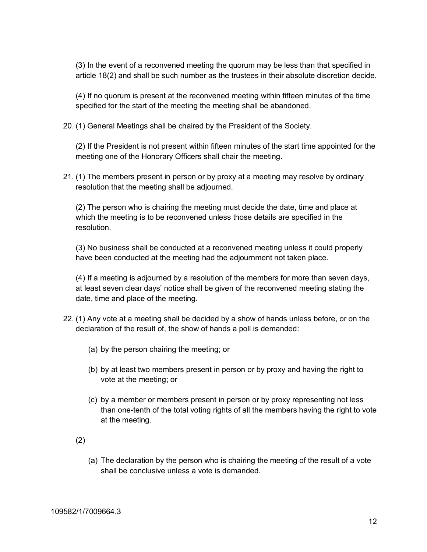(3) In the event of a reconvened meeting the quorum may be less than that specified in article 18(2) and shall be such number as the trustees in their absolute discretion decide.

(4) If no quorum is present at the reconvened meeting within fifteen minutes of the time specified for the start of the meeting the meeting shall be abandoned.

20. (1) General Meetings shall be chaired by the President of the Society.

(2) If the President is not present within fifteen minutes of the start time appointed for the meeting one of the Honorary Officers shall chair the meeting.

21. (1) The members present in person or by proxy at a meeting may resolve by ordinary resolution that the meeting shall be adjourned.

(2) The person who is chairing the meeting must decide the date, time and place at which the meeting is to be reconvened unless those details are specified in the resolution.

(3) No business shall be conducted at a reconvened meeting unless it could properly have been conducted at the meeting had the adjournment not taken place.

(4) If a meeting is adjourned by a resolution of the members for more than seven days, at least seven clear days' notice shall be given of the reconvened meeting stating the date, time and place of the meeting.

- 22. (1) Any vote at a meeting shall be decided by a show of hands unless before, or on the declaration of the result of, the show of hands a poll is demanded:
	- (a) by the person chairing the meeting; or
	- (b) by at least two members present in person or by proxy and having the right to vote at the meeting; or
	- (c) by a member or members present in person or by proxy representing not less than one-tenth of the total voting rights of all the members having the right to vote at the meeting.
	- (2)
		- (a) The declaration by the person who is chairing the meeting of the result of a vote shall be conclusive unless a vote is demanded.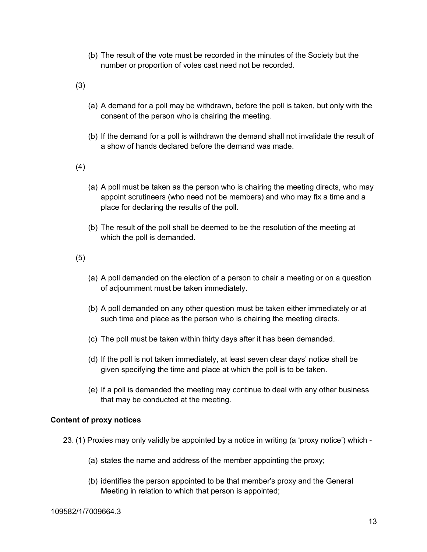(b) The result of the vote must be recorded in the minutes of the Society but the number or proportion of votes cast need not be recorded.

(3)

- (a) A demand for a poll may be withdrawn, before the poll is taken, but only with the consent of the person who is chairing the meeting.
- (b) If the demand for a poll is withdrawn the demand shall not invalidate the result of a show of hands declared before the demand was made.

(4)

- (a) A poll must be taken as the person who is chairing the meeting directs, who may appoint scrutineers (who need not be members) and who may fix a time and a place for declaring the results of the poll.
- (b) The result of the poll shall be deemed to be the resolution of the meeting at which the poll is demanded.

(5)

- (a) A poll demanded on the election of a person to chair a meeting or on a question of adjournment must be taken immediately.
- (b) A poll demanded on any other question must be taken either immediately or at such time and place as the person who is chairing the meeting directs.
- (c) The poll must be taken within thirty days after it has been demanded.
- (d) If the poll is not taken immediately, at least seven clear days' notice shall be given specifying the time and place at which the poll is to be taken.
- (e) If a poll is demanded the meeting may continue to deal with any other business that may be conducted at the meeting.

# **Content of proxy notices**

- 23. (1) Proxies may only validly be appointed by a notice in writing (a 'proxy notice') which
	- (a) states the name and address of the member appointing the proxy;
	- (b) identifies the person appointed to be that member's proxy and the General Meeting in relation to which that person is appointed;

#### 109582/1/7009664.3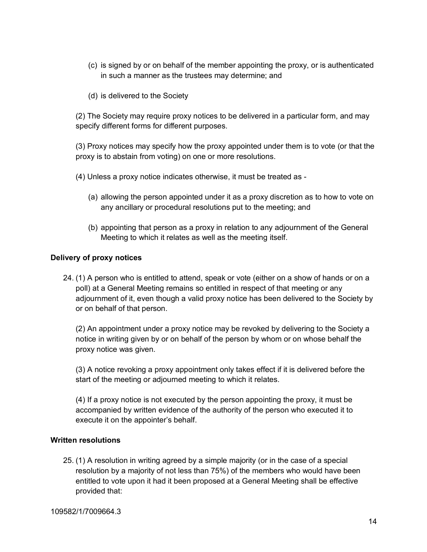- (c) is signed by or on behalf of the member appointing the proxy, or is authenticated in such a manner as the trustees may determine; and
- (d) is delivered to the Society

(2) The Society may require proxy notices to be delivered in a particular form, and may specify different forms for different purposes.

(3) Proxy notices may specify how the proxy appointed under them is to vote (or that the proxy is to abstain from voting) on one or more resolutions.

- (4) Unless a proxy notice indicates otherwise, it must be treated as
	- (a) allowing the person appointed under it as a proxy discretion as to how to vote on any ancillary or procedural resolutions put to the meeting; and
	- (b) appointing that person as a proxy in relation to any adjournment of the General Meeting to which it relates as well as the meeting itself.

# **Delivery of proxy notices**

24. (1) A person who is entitled to attend, speak or vote (either on a show of hands or on a poll) at a General Meeting remains so entitled in respect of that meeting or any adjournment of it, even though a valid proxy notice has been delivered to the Society by or on behalf of that person.

(2) An appointment under a proxy notice may be revoked by delivering to the Society a notice in writing given by or on behalf of the person by whom or on whose behalf the proxy notice was given.

(3) A notice revoking a proxy appointment only takes effect if it is delivered before the start of the meeting or adjourned meeting to which it relates.

(4) If a proxy notice is not executed by the person appointing the proxy, it must be accompanied by written evidence of the authority of the person who executed it to execute it on the appointer's behalf.

#### **Written resolutions**

25. (1) A resolution in writing agreed by a simple majority (or in the case of a special resolution by a majority of not less than 75%) of the members who would have been entitled to vote upon it had it been proposed at a General Meeting shall be effective provided that: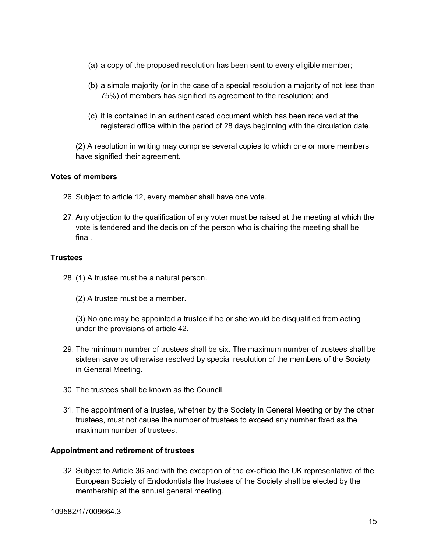- (a) a copy of the proposed resolution has been sent to every eligible member;
- (b) a simple majority (or in the case of a special resolution a majority of not less than 75%) of members has signified its agreement to the resolution; and
- (c) it is contained in an authenticated document which has been received at the registered office within the period of 28 days beginning with the circulation date.

(2) A resolution in writing may comprise several copies to which one or more members have signified their agreement.

# **Votes of members**

- 26. Subject to article 12, every member shall have one vote.
- 27. Any objection to the qualification of any voter must be raised at the meeting at which the vote is tendered and the decision of the person who is chairing the meeting shall be final.

# **Trustees**

- 28. (1) A trustee must be a natural person.
	- (2) A trustee must be a member.
	- (3) No one may be appointed a trustee if he or she would be disqualified from acting under the provisions of article 42.
- 29. The minimum number of trustees shall be six. The maximum number of trustees shall be sixteen save as otherwise resolved by special resolution of the members of the Society in General Meeting.
- 30. The trustees shall be known as the Council.
- 31. The appointment of a trustee, whether by the Society in General Meeting or by the other trustees, must not cause the number of trustees to exceed any number fixed as the maximum number of trustees.

#### **Appointment and retirement of trustees**

32. Subject to Article 36 and with the exception of the ex-officio the UK representative of the European Society of Endodontists the trustees of the Society shall be elected by the membership at the annual general meeting.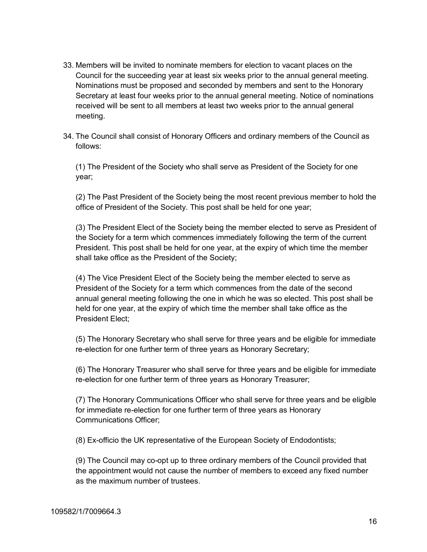- 33. Members will be invited to nominate members for election to vacant places on the Council for the succeeding year at least six weeks prior to the annual general meeting. Nominations must be proposed and seconded by members and sent to the Honorary Secretary at least four weeks prior to the annual general meeting. Notice of nominations received will be sent to all members at least two weeks prior to the annual general meeting.
- 34. The Council shall consist of Honorary Officers and ordinary members of the Council as follows:

(1) The President of the Society who shall serve as President of the Society for one year;

(2) The Past President of the Society being the most recent previous member to hold the office of President of the Society. This post shall be held for one year;

(3) The President Elect of the Society being the member elected to serve as President of the Society for a term which commences immediately following the term of the current President. This post shall be held for one year, at the expiry of which time the member shall take office as the President of the Society;

(4) The Vice President Elect of the Society being the member elected to serve as President of the Society for a term which commences from the date of the second annual general meeting following the one in which he was so elected. This post shall be held for one year, at the expiry of which time the member shall take office as the President Elect;

(5) The Honorary Secretary who shall serve for three years and be eligible for immediate re-election for one further term of three years as Honorary Secretary;

(6) The Honorary Treasurer who shall serve for three years and be eligible for immediate re-election for one further term of three years as Honorary Treasurer;

(7) The Honorary Communications Officer who shall serve for three years and be eligible for immediate re-election for one further term of three years as Honorary Communications Officer;

(8) Ex-officio the UK representative of the European Society of Endodontists;

(9) The Council may co-opt up to three ordinary members of the Council provided that the appointment would not cause the number of members to exceed any fixed number as the maximum number of trustees.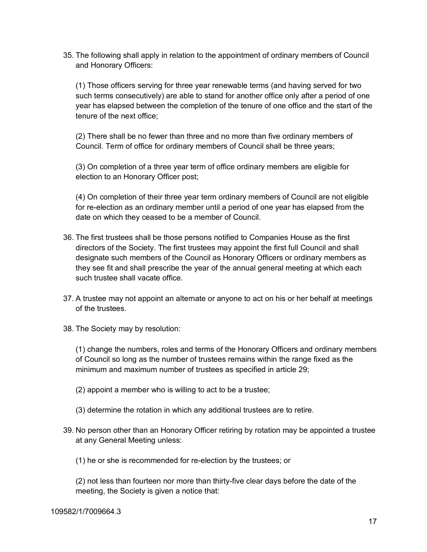35. The following shall apply in relation to the appointment of ordinary members of Council and Honorary Officers:

(1) Those officers serving for three year renewable terms (and having served for two such terms consecutively) are able to stand for another office only after a period of one year has elapsed between the completion of the tenure of one office and the start of the tenure of the next office;

(2) There shall be no fewer than three and no more than five ordinary members of Council. Term of office for ordinary members of Council shall be three years;

(3) On completion of a three year term of office ordinary members are eligible for election to an Honorary Officer post;

(4) On completion of their three year term ordinary members of Council are not eligible for re-election as an ordinary member until a period of one year has elapsed from the date on which they ceased to be a member of Council.

- 36. The first trustees shall be those persons notified to Companies House as the first directors of the Society. The first trustees may appoint the first full Council and shall designate such members of the Council as Honorary Officers or ordinary members as they see fit and shall prescribe the year of the annual general meeting at which each such trustee shall vacate office.
- 37. A trustee may not appoint an alternate or anyone to act on his or her behalf at meetings of the trustees.
- 38. The Society may by resolution:

(1) change the numbers, roles and terms of the Honorary Officers and ordinary members of Council so long as the number of trustees remains within the range fixed as the minimum and maximum number of trustees as specified in article 29;

- (2) appoint a member who is willing to act to be a trustee;
- (3) determine the rotation in which any additional trustees are to retire.
- 39. No person other than an Honorary Officer retiring by rotation may be appointed a trustee at any General Meeting unless:
	- (1) he or she is recommended for re-election by the trustees; or

(2) not less than fourteen nor more than thirty-five clear days before the date of the meeting, the Society is given a notice that: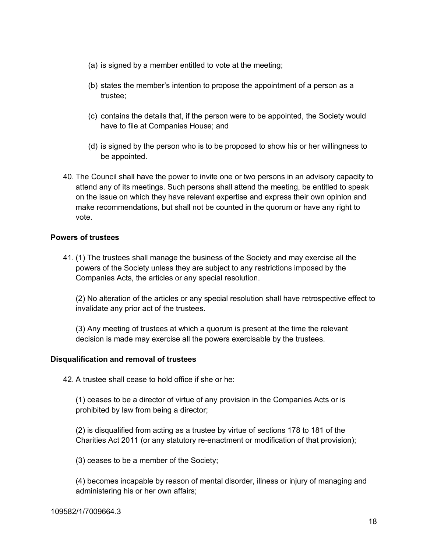- (a) is signed by a member entitled to vote at the meeting;
- (b) states the member's intention to propose the appointment of a person as a trustee;
- (c) contains the details that, if the person were to be appointed, the Society would have to file at Companies House; and
- (d) is signed by the person who is to be proposed to show his or her willingness to be appointed.
- 40. The Council shall have the power to invite one or two persons in an advisory capacity to attend any of its meetings. Such persons shall attend the meeting, be entitled to speak on the issue on which they have relevant expertise and express their own opinion and make recommendations, but shall not be counted in the quorum or have any right to vote.

# **Powers of trustees**

41. (1) The trustees shall manage the business of the Society and may exercise all the powers of the Society unless they are subject to any restrictions imposed by the Companies Acts, the articles or any special resolution.

(2) No alteration of the articles or any special resolution shall have retrospective effect to invalidate any prior act of the trustees.

(3) Any meeting of trustees at which a quorum is present at the time the relevant decision is made may exercise all the powers exercisable by the trustees.

# **Disqualification and removal of trustees**

42. A trustee shall cease to hold office if she or he:

(1) ceases to be a director of virtue of any provision in the Companies Acts or is prohibited by law from being a director;

(2) is disqualified from acting as a trustee by virtue of sections 178 to 181 of the Charities Act 2011 (or any statutory re-enactment or modification of that provision);

(3) ceases to be a member of the Society;

(4) becomes incapable by reason of mental disorder, illness or injury of managing and administering his or her own affairs;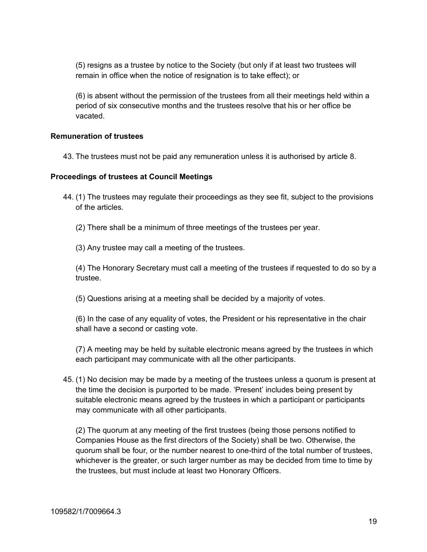(5) resigns as a trustee by notice to the Society (but only if at least two trustees will remain in office when the notice of resignation is to take effect); or

(6) is absent without the permission of the trustees from all their meetings held within a period of six consecutive months and the trustees resolve that his or her office be vacated.

### **Remuneration of trustees**

43. The trustees must not be paid any remuneration unless it is authorised by article 8.

### **Proceedings of trustees at Council Meetings**

- 44. (1) The trustees may regulate their proceedings as they see fit, subject to the provisions of the articles.
	- (2) There shall be a minimum of three meetings of the trustees per year.
	- (3) Any trustee may call a meeting of the trustees.

(4) The Honorary Secretary must call a meeting of the trustees if requested to do so by a trustee.

(5) Questions arising at a meeting shall be decided by a majority of votes.

(6) In the case of any equality of votes, the President or his representative in the chair shall have a second or casting vote.

(7) A meeting may be held by suitable electronic means agreed by the trustees in which each participant may communicate with all the other participants.

45. (1) No decision may be made by a meeting of the trustees unless a quorum is present at the time the decision is purported to be made. 'Present' includes being present by suitable electronic means agreed by the trustees in which a participant or participants may communicate with all other participants.

(2) The quorum at any meeting of the first trustees (being those persons notified to Companies House as the first directors of the Society) shall be two. Otherwise, the quorum shall be four, or the number nearest to one-third of the total number of trustees, whichever is the greater, or such larger number as may be decided from time to time by the trustees, but must include at least two Honorary Officers.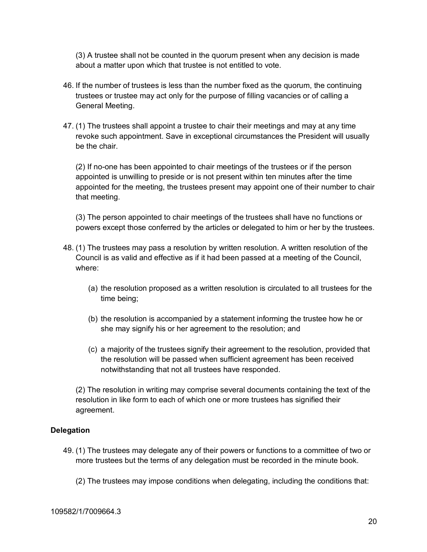(3) A trustee shall not be counted in the quorum present when any decision is made about a matter upon which that trustee is not entitled to vote.

- 46. If the number of trustees is less than the number fixed as the quorum, the continuing trustees or trustee may act only for the purpose of filling vacancies or of calling a General Meeting.
- 47. (1) The trustees shall appoint a trustee to chair their meetings and may at any time revoke such appointment. Save in exceptional circumstances the President will usually be the chair.

(2) If no-one has been appointed to chair meetings of the trustees or if the person appointed is unwilling to preside or is not present within ten minutes after the time appointed for the meeting, the trustees present may appoint one of their number to chair that meeting.

(3) The person appointed to chair meetings of the trustees shall have no functions or powers except those conferred by the articles or delegated to him or her by the trustees.

- 48. (1) The trustees may pass a resolution by written resolution. A written resolution of the Council is as valid and effective as if it had been passed at a meeting of the Council, where:
	- (a) the resolution proposed as a written resolution is circulated to all trustees for the time being;
	- (b) the resolution is accompanied by a statement informing the trustee how he or she may signify his or her agreement to the resolution; and
	- (c) a majority of the trustees signify their agreement to the resolution, provided that the resolution will be passed when sufficient agreement has been received notwithstanding that not all trustees have responded.

(2) The resolution in writing may comprise several documents containing the text of the resolution in like form to each of which one or more trustees has signified their agreement.

# **Delegation**

- 49. (1) The trustees may delegate any of their powers or functions to a committee of two or more trustees but the terms of any delegation must be recorded in the minute book.
	- (2) The trustees may impose conditions when delegating, including the conditions that: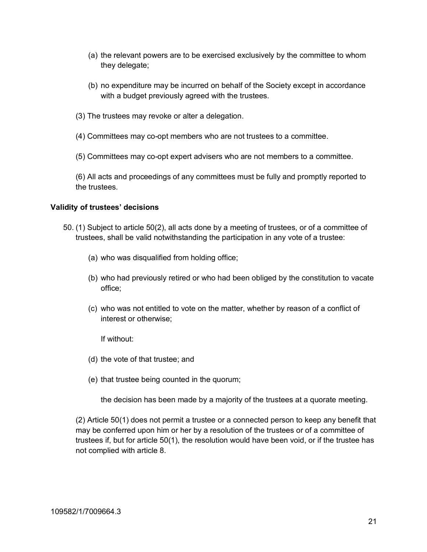- (a) the relevant powers are to be exercised exclusively by the committee to whom they delegate;
- (b) no expenditure may be incurred on behalf of the Society except in accordance with a budget previously agreed with the trustees.
- (3) The trustees may revoke or alter a delegation.
- (4) Committees may co-opt members who are not trustees to a committee.
- (5) Committees may co-opt expert advisers who are not members to a committee.
- (6) All acts and proceedings of any committees must be fully and promptly reported to the trustees.

### **Validity of trustees' decisions**

- 50. (1) Subject to article 50(2), all acts done by a meeting of trustees, or of a committee of trustees, shall be valid notwithstanding the participation in any vote of a trustee:
	- (a) who was disqualified from holding office;
	- (b) who had previously retired or who had been obliged by the constitution to vacate office;
	- (c) who was not entitled to vote on the matter, whether by reason of a conflict of interest or otherwise;

If without:

- (d) the vote of that trustee; and
- (e) that trustee being counted in the quorum;

the decision has been made by a majority of the trustees at a quorate meeting.

(2) Article 50(1) does not permit a trustee or a connected person to keep any benefit that may be conferred upon him or her by a resolution of the trustees or of a committee of trustees if, but for article 50(1), the resolution would have been void, or if the trustee has not complied with article 8.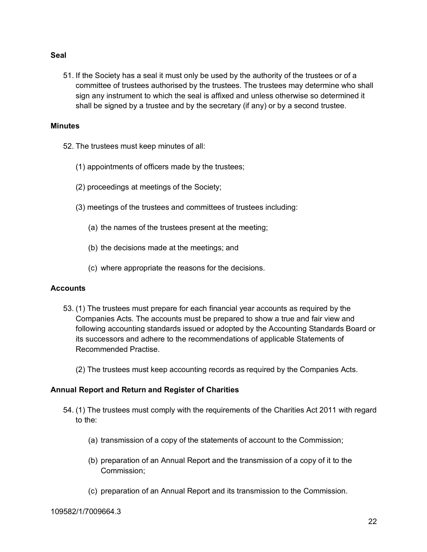#### **Seal**

51. If the Society has a seal it must only be used by the authority of the trustees or of a committee of trustees authorised by the trustees. The trustees may determine who shall sign any instrument to which the seal is affixed and unless otherwise so determined it shall be signed by a trustee and by the secretary (if any) or by a second trustee.

#### **Minutes**

- 52. The trustees must keep minutes of all:
	- (1) appointments of officers made by the trustees;
	- (2) proceedings at meetings of the Society;
	- (3) meetings of the trustees and committees of trustees including:
		- (a) the names of the trustees present at the meeting;
		- (b) the decisions made at the meetings; and
		- (c) where appropriate the reasons for the decisions.

#### **Accounts**

- 53. (1) The trustees must prepare for each financial year accounts as required by the Companies Acts. The accounts must be prepared to show a true and fair view and following accounting standards issued or adopted by the Accounting Standards Board or its successors and adhere to the recommendations of applicable Statements of Recommended Practise.
	- (2) The trustees must keep accounting records as required by the Companies Acts.

#### **Annual Report and Return and Register of Charities**

- 54. (1) The trustees must comply with the requirements of the Charities Act 2011 with regard to the:
	- (a) transmission of a copy of the statements of account to the Commission;
	- (b) preparation of an Annual Report and the transmission of a copy of it to the Commission;
	- (c) preparation of an Annual Report and its transmission to the Commission.

#### 109582/1/7009664.3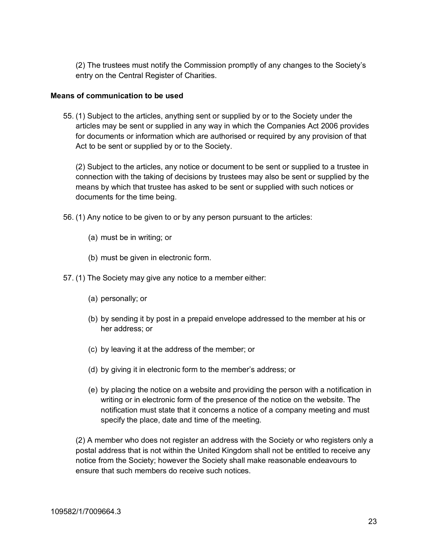(2) The trustees must notify the Commission promptly of any changes to the Society's entry on the Central Register of Charities.

### **Means of communication to be used**

55. (1) Subject to the articles, anything sent or supplied by or to the Society under the articles may be sent or supplied in any way in which the Companies Act 2006 provides for documents or information which are authorised or required by any provision of that Act to be sent or supplied by or to the Society.

(2) Subject to the articles, any notice or document to be sent or supplied to a trustee in connection with the taking of decisions by trustees may also be sent or supplied by the means by which that trustee has asked to be sent or supplied with such notices or documents for the time being.

- 56. (1) Any notice to be given to or by any person pursuant to the articles:
	- (a) must be in writing; or
	- (b) must be given in electronic form.
- 57. (1) The Society may give any notice to a member either:
	- (a) personally; or
	- (b) by sending it by post in a prepaid envelope addressed to the member at his or her address; or
	- (c) by leaving it at the address of the member; or
	- (d) by giving it in electronic form to the member's address; or
	- (e) by placing the notice on a website and providing the person with a notification in writing or in electronic form of the presence of the notice on the website. The notification must state that it concerns a notice of a company meeting and must specify the place, date and time of the meeting.

(2) A member who does not register an address with the Society or who registers only a postal address that is not within the United Kingdom shall not be entitled to receive any notice from the Society; however the Society shall make reasonable endeavours to ensure that such members do receive such notices.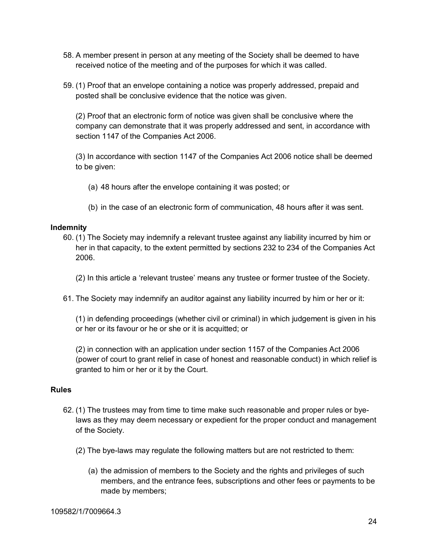- 58. A member present in person at any meeting of the Society shall be deemed to have received notice of the meeting and of the purposes for which it was called.
- 59. (1) Proof that an envelope containing a notice was properly addressed, prepaid and posted shall be conclusive evidence that the notice was given.

(2) Proof that an electronic form of notice was given shall be conclusive where the company can demonstrate that it was properly addressed and sent, in accordance with section 1147 of the Companies Act 2006.

(3) In accordance with section 1147 of the Companies Act 2006 notice shall be deemed to be given:

- (a) 48 hours after the envelope containing it was posted; or
- (b) in the case of an electronic form of communication, 48 hours after it was sent.

# **Indemnity**

60. (1) The Society may indemnify a relevant trustee against any liability incurred by him or her in that capacity, to the extent permitted by sections 232 to 234 of the Companies Act 2006.

(2) In this article a 'relevant trustee' means any trustee or former trustee of the Society.

61. The Society may indemnify an auditor against any liability incurred by him or her or it:

(1) in defending proceedings (whether civil or criminal) in which judgement is given in his or her or its favour or he or she or it is acquitted; or

(2) in connection with an application under section 1157 of the Companies Act 2006 (power of court to grant relief in case of honest and reasonable conduct) in which relief is granted to him or her or it by the Court.

#### **Rules**

- 62. (1) The trustees may from time to time make such reasonable and proper rules or byelaws as they may deem necessary or expedient for the proper conduct and management of the Society.
	- (2) The bye-laws may regulate the following matters but are not restricted to them:
		- (a) the admission of members to the Society and the rights and privileges of such members, and the entrance fees, subscriptions and other fees or payments to be made by members;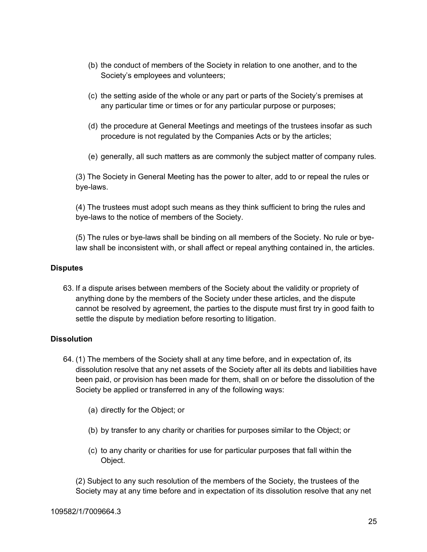- (b) the conduct of members of the Society in relation to one another, and to the Society's employees and volunteers;
- (c) the setting aside of the whole or any part or parts of the Society's premises at any particular time or times or for any particular purpose or purposes;
- (d) the procedure at General Meetings and meetings of the trustees insofar as such procedure is not regulated by the Companies Acts or by the articles;
- (e) generally, all such matters as are commonly the subject matter of company rules.

(3) The Society in General Meeting has the power to alter, add to or repeal the rules or bye-laws.

(4) The trustees must adopt such means as they think sufficient to bring the rules and bye-laws to the notice of members of the Society.

(5) The rules or bye-laws shall be binding on all members of the Society. No rule or byelaw shall be inconsistent with, or shall affect or repeal anything contained in, the articles.

### **Disputes**

63. If a dispute arises between members of the Society about the validity or propriety of anything done by the members of the Society under these articles, and the dispute cannot be resolved by agreement, the parties to the dispute must first try in good faith to settle the dispute by mediation before resorting to litigation.

# **Dissolution**

- 64. (1) The members of the Society shall at any time before, and in expectation of, its dissolution resolve that any net assets of the Society after all its debts and liabilities have been paid, or provision has been made for them, shall on or before the dissolution of the Society be applied or transferred in any of the following ways:
	- (a) directly for the Object; or
	- (b) by transfer to any charity or charities for purposes similar to the Object; or
	- (c) to any charity or charities for use for particular purposes that fall within the Object.

(2) Subject to any such resolution of the members of the Society, the trustees of the Society may at any time before and in expectation of its dissolution resolve that any net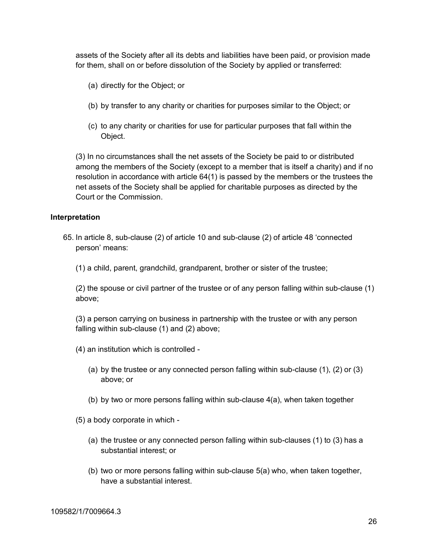assets of the Society after all its debts and liabilities have been paid, or provision made for them, shall on or before dissolution of the Society by applied or transferred:

- (a) directly for the Object; or
- (b) by transfer to any charity or charities for purposes similar to the Object; or
- (c) to any charity or charities for use for particular purposes that fall within the Object.

(3) In no circumstances shall the net assets of the Society be paid to or distributed among the members of the Society (except to a member that is itself a charity) and if no resolution in accordance with article 64(1) is passed by the members or the trustees the net assets of the Society shall be applied for charitable purposes as directed by the Court or the Commission.

# **Interpretation**

- 65. In article 8, sub-clause (2) of article 10 and sub-clause (2) of article 48 'connected person' means:
	- (1) a child, parent, grandchild, grandparent, brother or sister of the trustee;

(2) the spouse or civil partner of the trustee or of any person falling within sub-clause (1) above;

(3) a person carrying on business in partnership with the trustee or with any person falling within sub-clause (1) and (2) above;

- (4) an institution which is controlled
	- (a) by the trustee or any connected person falling within sub-clause (1), (2) or (3) above; or
	- (b) by two or more persons falling within sub-clause 4(a), when taken together

(5) a body corporate in which -

- (a) the trustee or any connected person falling within sub-clauses (1) to (3) has a substantial interest; or
- (b) two or more persons falling within sub-clause 5(a) who, when taken together, have a substantial interest.